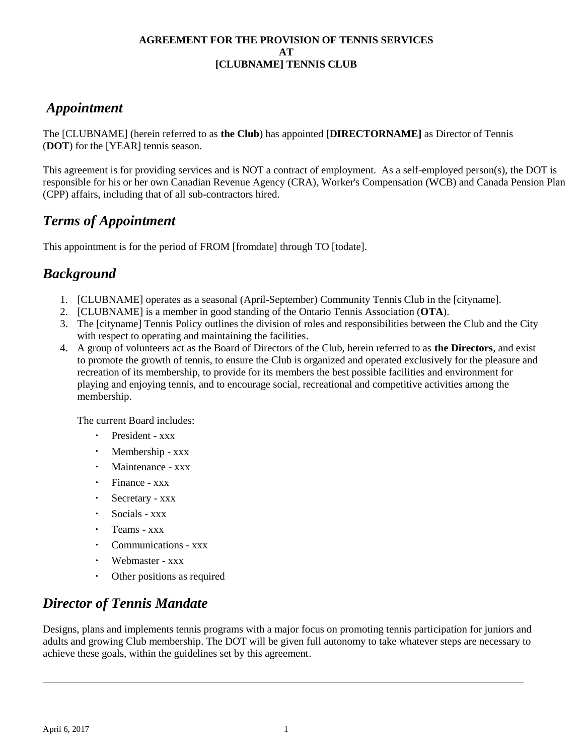### *Appointment*

The [CLUBNAME] (herein referred to as **the Club**) has appointed **[DIRECTORNAME]** as Director of Tennis (**DOT**) for the [YEAR] tennis season.

This agreement is for providing services and is NOT a contract of employment. As a self-employed person(s), the DOT is responsible for his or her own Canadian Revenue Agency (CRA), Worker's Compensation (WCB) and Canada Pension Plan (CPP) affairs, including that of all sub-contractors hired.

## *Terms of Appointment*

This appointment is for the period of FROM [fromdate] through TO [todate].

## *Background*

- 1. [CLUBNAME] operates as a seasonal (April-September) Community Tennis Club in the [cityname].
- 2. [CLUBNAME] is a member in good standing of the Ontario Tennis Association (**OTA**).
- 3. The [cityname] Tennis Policy outlines the division of roles and responsibilities between the Club and the City with respect to operating and maintaining the facilities.
- 4. A group of volunteers act as the Board of Directors of the Club, herein referred to as **the Directors**, and exist to promote the growth of tennis, to ensure the Club is organized and operated exclusively for the pleasure and recreation of its membership, to provide for its members the best possible facilities and environment for playing and enjoying tennis, and to encourage social, recreational and competitive activities among the membership.

The current Board includes:

- President xxx
- $\ddot{\phantom{a}}$ Membership - xxx
- Maintenance xxx
- Finance xxx
- Secretary xxx  $\bullet$
- Socials xxx
- Teams xxx  $\bullet$
- Communications xxx
- $\ddot{\phantom{0}}$ Webmaster - xxx
- Other positions as required

# *Director of Tennis Mandate*

Designs, plans and implements tennis programs with a major focus on promoting tennis participation for juniors and adults and growing Club membership. The DOT will be given full autonomy to take whatever steps are necessary to achieve these goals, within the guidelines set by this agreement.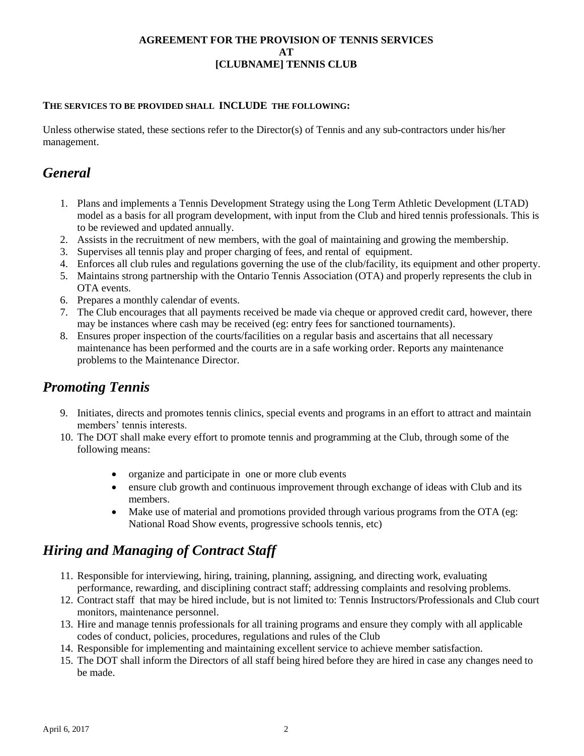#### **THE SERVICES TO BE PROVIDED SHALL INCLUDE THE FOLLOWING:**

Unless otherwise stated, these sections refer to the Director(s) of Tennis and any sub-contractors under his/her management.

## *General*

- 1. Plans and implements a Tennis Development Strategy using the Long Term Athletic Development (LTAD) model as a basis for all program development, with input from the Club and hired tennis professionals. This is to be reviewed and updated annually.
- 2. Assists in the recruitment of new members, with the goal of maintaining and growing the membership.
- 3. Supervises all tennis play and proper charging of fees, and rental of equipment.
- 4. Enforces all club rules and regulations governing the use of the club/facility, its equipment and other property.
- 5. Maintains strong partnership with the Ontario Tennis Association (OTA) and properly represents the club in OTA events.
- 6. Prepares a monthly calendar of events.
- 7. The Club encourages that all payments received be made via cheque or approved credit card, however, there may be instances where cash may be received (eg: entry fees for sanctioned tournaments).
- 8. Ensures proper inspection of the courts/facilities on a regular basis and ascertains that all necessary maintenance has been performed and the courts are in a safe working order. Reports any maintenance problems to the Maintenance Director.

### *Promoting Tennis*

- 9. Initiates, directs and promotes tennis clinics, special events and programs in an effort to attract and maintain members' tennis interests.
- 10. The DOT shall make every effort to promote tennis and programming at the Club, through some of the following means:
	- organize and participate in one or more club events
	- ensure club growth and continuous improvement through exchange of ideas with Club and its members.
	- Make use of material and promotions provided through various programs from the OTA (eg: National Road Show events, progressive schools tennis, etc)

## *Hiring and Managing of Contract Staff*

- 11. Responsible for interviewing, hiring, training, planning, assigning, and directing work, evaluating performance, rewarding, and disciplining contract staff; addressing complaints and resolving problems.
- 12. Contract staff that may be hired include, but is not limited to: Tennis Instructors/Professionals and Club court monitors, maintenance personnel.
- 13. Hire and manage tennis professionals for all training programs and ensure they comply with all applicable codes of conduct, policies, procedures, regulations and rules of the Club
- 14. Responsible for implementing and maintaining excellent service to achieve member satisfaction.
- 15. The DOT shall inform the Directors of all staff being hired before they are hired in case any changes need to be made.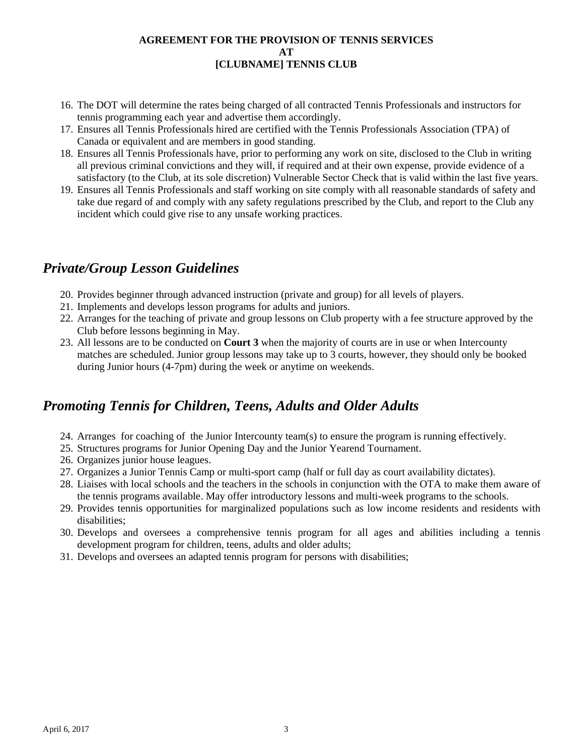- 16. The DOT will determine the rates being charged of all contracted Tennis Professionals and instructors for tennis programming each year and advertise them accordingly.
- 17. Ensures all Tennis Professionals hired are certified with the Tennis Professionals Association (TPA) of Canada or equivalent and are members in good standing.
- 18. Ensures all Tennis Professionals have, prior to performing any work on site, disclosed to the Club in writing all previous criminal convictions and they will, if required and at their own expense, provide evidence of a satisfactory (to the Club, at its sole discretion) Vulnerable Sector Check that is valid within the last five years.
- 19. Ensures all Tennis Professionals and staff working on site comply with all reasonable standards of safety and take due regard of and comply with any safety regulations prescribed by the Club, and report to the Club any incident which could give rise to any unsafe working practices.

## *Private/Group Lesson Guidelines*

- 20. Provides beginner through advanced instruction (private and group) for all levels of players.
- 21. Implements and develops lesson programs for adults and juniors.
- 22. Arranges for the teaching of private and group lessons on Club property with a fee structure approved by the Club before lessons beginning in May.
- 23. All lessons are to be conducted on **Court 3** when the majority of courts are in use or when Intercounty matches are scheduled. Junior group lessons may take up to 3 courts, however, they should only be booked during Junior hours (4-7pm) during the week or anytime on weekends.

## *Promoting Tennis for Children, Teens, Adults and Older Adults*

- 24. Arranges for coaching of the Junior Intercounty team(s) to ensure the program is running effectively.
- 25. Structures programs for Junior Opening Day and the Junior Yearend Tournament.
- 26. Organizes junior house leagues.
- 27. Organizes a Junior Tennis Camp or multi-sport camp (half or full day as court availability dictates).
- 28. Liaises with local schools and the teachers in the schools in conjunction with the OTA to make them aware of the tennis programs available. May offer introductory lessons and multi-week programs to the schools.
- 29. Provides tennis opportunities for marginalized populations such as low income residents and residents with disabilities;
- 30. Develops and oversees a comprehensive tennis program for all ages and abilities including a tennis development program for children, teens, adults and older adults;
- 31. Develops and oversees an adapted tennis program for persons with disabilities;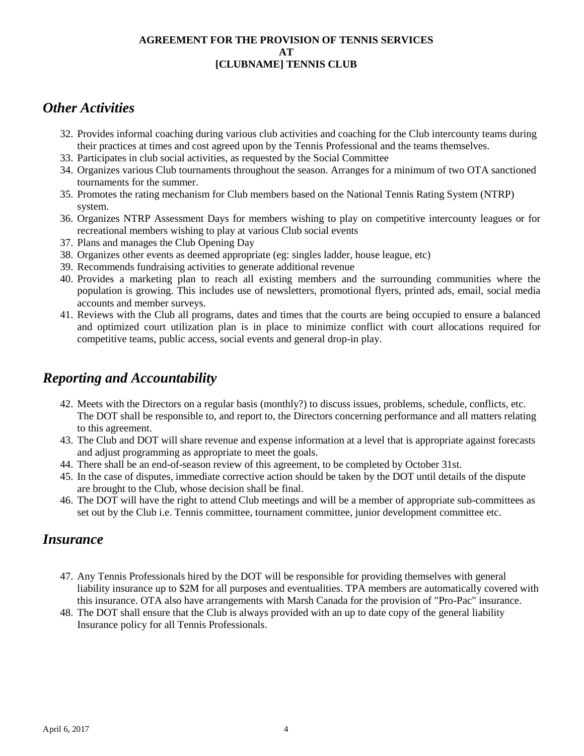### *Other Activities*

- 32. Provides informal coaching during various club activities and coaching for the Club intercounty teams during their practices at times and cost agreed upon by the Tennis Professional and the teams themselves.
- 33. Participates in club social activities, as requested by the Social Committee
- 34. Organizes various Club tournaments throughout the season. Arranges for a minimum of two OTA sanctioned tournaments for the summer.
- 35. Promotes the rating mechanism for Club members based on the National Tennis Rating System (NTRP) system.
- 36. Organizes NTRP Assessment Days for members wishing to play on competitive intercounty leagues or for recreational members wishing to play at various Club social events
- 37. Plans and manages the Club Opening Day
- 38. Organizes other events as deemed appropriate (eg: singles ladder, house league, etc)
- 39. Recommends fundraising activities to generate additional revenue
- 40. Provides a marketing plan to reach all existing members and the surrounding communities where the population is growing. This includes use of newsletters, promotional flyers, printed ads, email, social media accounts and member surveys.
- 41. Reviews with the Club all programs, dates and times that the courts are being occupied to ensure a balanced and optimized court utilization plan is in place to minimize conflict with court allocations required for competitive teams, public access, social events and general drop-in play.

## *Reporting and Accountability*

- 42. Meets with the Directors on a regular basis (monthly?) to discuss issues, problems, schedule, conflicts, etc. The DOT shall be responsible to, and report to, the Directors concerning performance and all matters relating to this agreement.
- 43. The Club and DOT will share revenue and expense information at a level that is appropriate against forecasts and adjust programming as appropriate to meet the goals.
- 44. There shall be an end-of-season review of this agreement, to be completed by October 31st.
- 45. In the case of disputes, immediate corrective action should be taken by the DOT until details of the dispute are brought to the Club, whose decision shall be final.
- 46. The DOT will have the right to attend Club meetings and will be a member of appropriate sub-committees as set out by the Club i.e. Tennis committee, tournament committee, junior development committee etc.

### *Insurance*

- 47. Any Tennis Professionals hired by the DOT will be responsible for providing themselves with general liability insurance up to \$2M for all purposes and eventualities. TPA members are automatically covered with this insurance. OTA also have arrangements with Marsh Canada for the provision of "Pro-Pac" insurance.
- 48. The DOT shall ensure that the Club is always provided with an up to date copy of the general liability Insurance policy for all Tennis Professionals.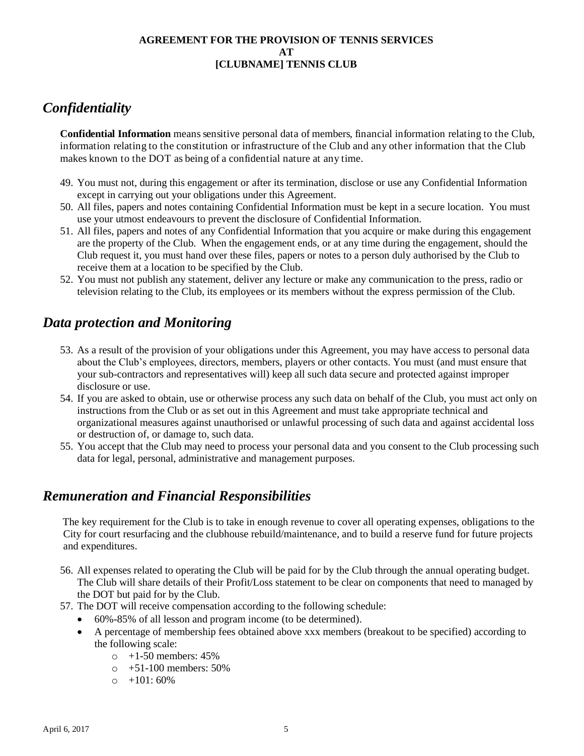# *Confidentiality*

**Confidential Information** means sensitive personal data of members, financial information relating to the Club, information relating to the constitution or infrastructure of the Club and any other information that the Club makes known to the DOT as being of a confidential nature at any time.

- 49. You must not, during this engagement or after its termination, disclose or use any Confidential Information except in carrying out your obligations under this Agreement.
- 50. All files, papers and notes containing Confidential Information must be kept in a secure location. You must use your utmost endeavours to prevent the disclosure of Confidential Information.
- 51. All files, papers and notes of any Confidential Information that you acquire or make during this engagement are the property of the Club. When the engagement ends, or at any time during the engagement, should the Club request it, you must hand over these files, papers or notes to a person duly authorised by the Club to receive them at a location to be specified by the Club.
- 52. You must not publish any statement, deliver any lecture or make any communication to the press, radio or television relating to the Club, its employees or its members without the express permission of the Club.

## *Data protection and Monitoring*

- 53. As a result of the provision of your obligations under this Agreement, you may have access to personal data about the Club's employees, directors, members, players or other contacts. You must (and must ensure that your sub-contractors and representatives will) keep all such data secure and protected against improper disclosure or use.
- 54. If you are asked to obtain, use or otherwise process any such data on behalf of the Club, you must act only on instructions from the Club or as set out in this Agreement and must take appropriate technical and organizational measures against unauthorised or unlawful processing of such data and against accidental loss or destruction of, or damage to, such data.
- 55. You accept that the Club may need to process your personal data and you consent to the Club processing such data for legal, personal, administrative and management purposes.

## *Remuneration and Financial Responsibilities*

The key requirement for the Club is to take in enough revenue to cover all operating expenses, obligations to the City for court resurfacing and the clubhouse rebuild/maintenance, and to build a reserve fund for future projects and expenditures.

- 56. All expenses related to operating the Club will be paid for by the Club through the annual operating budget. The Club will share details of their Profit/Loss statement to be clear on components that need to managed by the DOT but paid for by the Club.
- 57. The DOT will receive compensation according to the following schedule:
	- 60%-85% of all lesson and program income (to be determined).
	- A percentage of membership fees obtained above xxx members (breakout to be specified) according to the following scale:
		- $\circ$  +1-50 members: 45%
		- $\circ$  +51-100 members: 50%
		- $\circ$  +101:60%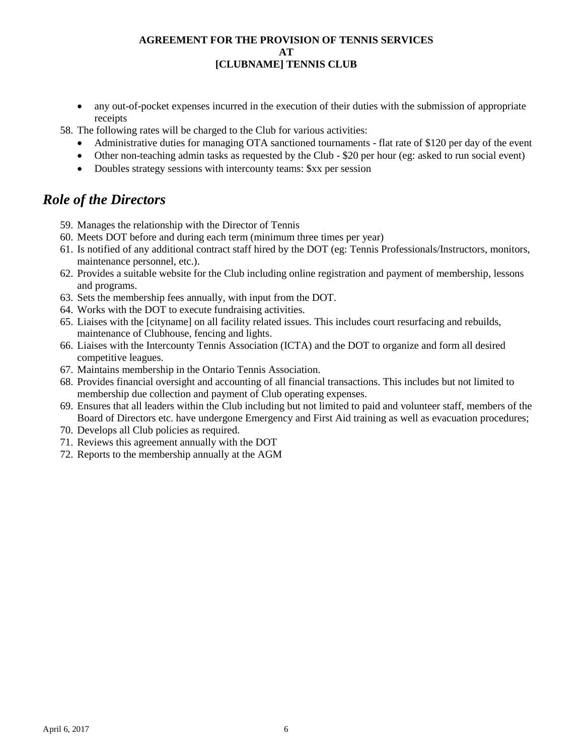any out-of-pocket expenses incurred in the execution of their duties with the submission of appropriate receipts

58. The following rates will be charged to the Club for various activities:

- Administrative duties for managing OTA sanctioned tournaments flat rate of \$120 per day of the event
- Other non-teaching admin tasks as requested by the Club \$20 per hour (eg: asked to run social event)
- Doubles strategy sessions with intercounty teams:  $Sxx$  per session

### *Role of the Directors*

- 59. Manages the relationship with the Director of Tennis
- 60. Meets DOT before and during each term (minimum three times per year)
- 61. Is notified of any additional contract staff hired by the DOT (eg: Tennis Professionals/Instructors, monitors, maintenance personnel, etc.).
- 62. Provides a suitable website for the Club including online registration and payment of membership, lessons and programs.
- 63. Sets the membership fees annually, with input from the DOT.
- 64. Works with the DOT to execute fundraising activities.
- 65. Liaises with the [cityname] on all facility related issues. This includes court resurfacing and rebuilds, maintenance of Clubhouse, fencing and lights.
- 66. Liaises with the Intercounty Tennis Association (ICTA) and the DOT to organize and form all desired competitive leagues.
- 67. Maintains membership in the Ontario Tennis Association.
- 68. Provides financial oversight and accounting of all financial transactions. This includes but not limited to membership due collection and payment of Club operating expenses.
- 69. Ensures that all leaders within the Club including but not limited to paid and volunteer staff, members of the Board of Directors etc. have undergone Emergency and First Aid training as well as evacuation procedures;
- 70. Develops all Club policies as required.
- 71. Reviews this agreement annually with the DOT
- 72. Reports to the membership annually at the AGM